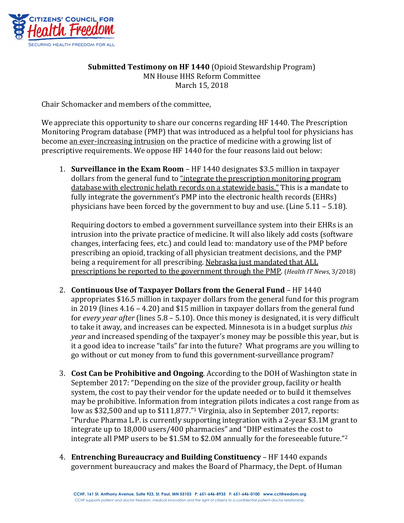

## **Submitted Testimony on HF 1440** (Opioid Stewardship Program) MN House HHS Reform Committee March 15, 2018

Chair Schomacker and members of the committee,

We appreciate this opportunity to share our concerns regarding HF 1440. The Prescription Monitoring Program database (PMP) that was introduced as a helpful tool for physicians has become an ever-increasing intrusion on the practice of medicine with a growing list of prescriptive requirements. We oppose HF 1440 for the four reasons laid out below:

**1. Surveillance in the Exam Room** – HF 1440 designates \$3.5 million in taxpayer dollars from the general fund to "integrate the prescription monitoring program database with electronic helath records on a statewide basis." This is a mandate to fully integrate the government's PMP into the electronic health records (EHRs) physicians have been forced by the government to buy and use. (Line  $5.11 - 5.18$ ).

Requiring doctors to embed a government surveillance system into their EHRs is an intrusion into the private practice of medicine. It will also likely add costs (software changes, interfacing fees, etc.) and could lead to: mandatory use of the PMP before prescribing an opioid, tracking of all physician treatment decisions, and the PMP being a requirement for all prescribing. Nebraska just mandated that ALL prescriptions be reported to the government through the PMP. (*Health IT News*, 3/2018)

- 2. **Continuous Use of Taxpayer Dollars from the General Fund** HF 1440 appropriates \$16.5 million in taxpayer dollars from the general fund for this program in 2019 (lines  $4.16 - 4.20$ ) and \$15 million in taxpayer dollars from the general fund for *every year after* (lines 5.8 – 5.10). Once this money is designated, it is very difficult to take it away, and increases can be expected. Minnesota is in a budget surplus *this year* and increased spending of the taxpayer's money may be possible this year, but is it a good idea to increase "tails" far into the future? What programs are you willing to go without or cut money from to fund this government-surveillance program?
- 3. **Cost Can be Prohibitive and Ongoing**. According to the DOH of Washington state in September 2017: "Depending on the size of the provider group, facility or health system, the cost to pay their vendor for the update needed or to build it themselves may be prohibitive. Information from integration pilots indicates a cost range from as low as \$32,500 and up to  $$111,877."$ <sup>1</sup> Virginia, also in September 2017, reports: "Purdue Pharma L.P. is currently supporting integration with a 2-year \$3.1M grant to integrate up to 18,000 users/400 pharmacies" and "DHP estimates the cost to integrate all PMP users to be \$1.5M to \$2.0M annually for the foreseeable future."<sup>2</sup>
- 4. **Entrenching Bureaucracy and Building Constituency** HF 1440 expands government bureaucracy and makes the Board of Pharmacy, the Dept. of Human